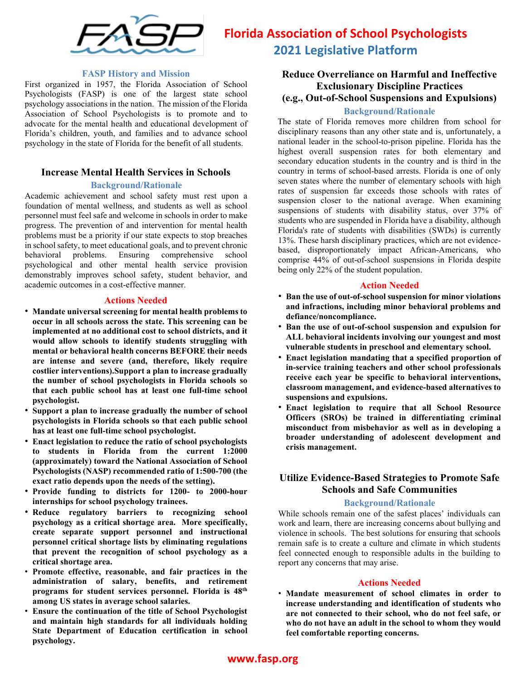

# **Florida Association of School Psychologists 2021 Legislative Platform**

#### **FASP History and Mission**

First organized in 1957, the Florida Association of School Psychologists (FASP) is one of the largest state school psychology associations in the nation. The mission of the Florida Association of School Psychologists is to promote and to advocate for the mental health and educational development of Florida's children, youth, and families and to advance school psychology in the state of Florida for the benefit of all students.

### **Increase Mental Health Services in Schools**

#### **Background/Rationale**

Academic achievement and school safety must rest upon a foundation of mental wellness, and students as well as school personnel must feel safe and welcome in schools in order to make progress. The prevention of and intervention for mental health problems must be a priority if our state expects to stop breaches in school safety, to meet educational goals, and to prevent chronic<br>behavioral problems. Ensuring comprehensive school behavioral problems. Ensuring comprehensive school psychological and other mental health service provision demonstrably improves school safety, student behavior, and academic outcomes in a cost-effective manner.

#### **Actions Needed**

- **Mandate universal screening for mental health problems to occur in all schools across the state. This screening can be implemented at no additional cost to school districts, and it would allow schools to identify students struggling with mental or behavioral health concerns BEFORE their needs are intense and severe (and, therefore, likely require costlier interventions).Support a plan to increase gradually the number of school psychologists in Florida schools so that each public school has at least one full-time school psychologist.**
- **Support a plan to increase gradually the number of school psychologists in Florida schools so that each public school has at least one full-time school psychologist.**
- **Enact legislation to reduce the ratio of school psychologists to students in Florida from the current 1:2000 (approximately) toward the National Association of School Psychologists (NASP) recommended ratio of 1:500-700 (the exact ratio depends upon the needs of the setting).**
- **Provide funding to districts for 1200- to 2000-hour internships for school psychology trainees.**
- **Reduce regulatory barriers to recognizing school psychology as a critical shortage area. More specifically, create separate support personnel and instructional personnel critical shortage lists by eliminating regulations that prevent the recognition of school psychology as a critical shortage area.**
- **Promote effective, reasonable, and fair practices in the administration of salary, benefits, and retirement programs for student services personnel. Florida is 48th among US states in average school salaries.**
- **Ensure the continuation of the title of School Psychologist and maintain high standards for all individuals holding State Department of Education certification in school psychology.**

# **Reduce Overreliance on Harmful and Ineffective Exclusionary Discipline Practices**

# **(e.g., Out-of-School Suspensions and Expulsions)**

### **Background/Rationale**

The state of Florida removes more children from school for disciplinary reasons than any other state and is, unfortunately, a national leader in the school-to-prison pipeline. Florida has the highest overall suspension rates for both elementary and secondary education students in the country and is third in the country in terms of school-based arrests. Florida is one of only seven states where the number of elementary schools with high rates of suspension far exceeds those schools with rates of suspension closer to the national average. When examining suspensions of students with disability status, over 37% of students who are suspended in Florida have a disability, although Florida's rate of students with disabilities (SWDs) is currently 13%. These harsh disciplinary practices, which are not evidencebased, disproportionately impact African-Americans, who comprise 44% of out-of-school suspensions in Florida despite being only 22% of the student population.

#### **Action Needed**

- **Ban the use of out-of-school suspension for minor violations and infractions, including minor behavioral problems and defiance/noncompliance.**
- **Ban the use of out-of-school suspension and expulsion for ALL behavioral incidents involving our youngest and most vulnerable students in preschool and elementary school.**
- **Enact legislation mandating that a specified proportion of in-service training teachers and other school professionals receive each year be specific to behavioral interventions, classroom management, and evidence-based alternatives to suspensions and expulsions.**
- **Enact legislation to require that all School Resource Officers (SROs) be trained in differentiating criminal misconduct from misbehavior as well as in developing a broader understanding of adolescent development and crisis management.**

# **Utilize Evidence-Based Strategies to Promote Safe Schools and Safe Communities**

#### **Background/Rationale**

While schools remain one of the safest places' individuals can work and learn, there are increasing concerns about bullying and violence in schools. The best solutions for ensuring that schools remain safe is to create a culture and climate in which students feel connected enough to responsible adults in the building to report any concerns that may arise.

#### **Actions Needed**

• **Mandate measurement of school climates in order to increase understanding and identification of students who are not connected to their school, who do not feel safe, or who do not have an adult in the school to whom they would feel comfortable reporting concerns.**